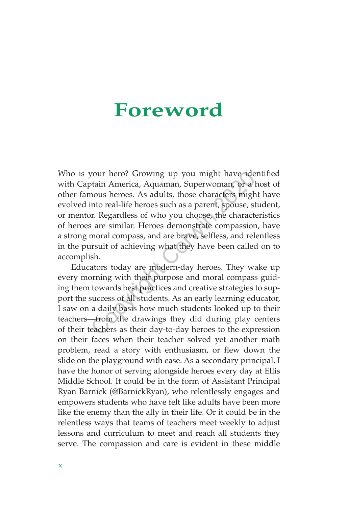## **Foreword**

Who is your hero? Growing up you might have identified with Captain America, Aquaman, Superwoman, or a host of other famous heroes. As adults, those characters might have evolved into real-life heroes such as a parent, spouse, student, or mentor. Regardless of who you choose, the characteristics of heroes are similar. Heroes demonstrate compassion, have a strong moral compass, and are brave, selfless, and relentless in the pursuit of achieving what they have been called on to accomplish. your hero? Growing up you might have ide<br>btain America, Aquaman, Superwoman, or a l<br>nous heroes. As adults, those characters migh<br>into real-life heroes such as a parent, spouse, st<br>or. Regardless of who you choose, the cha

Educators today are modern-day heroes. They wake up every morning with their purpose and moral compass guiding them towards best practices and creative strategies to support the success of all students. As an early learning educator, I saw on a daily basis how much students looked up to their teachers—from the drawings they did during play centers of their teachers as their day-to-day heroes to the expression on their faces when their teacher solved yet another math problem, read a story with enthusiasm, or flew down the slide on the playground with ease. As a secondary principal, I have the honor of serving alongside heroes every day at Ellis Middle School. It could be in the form of Assistant Principal Ryan Barnick (@BarnickRyan), who relentlessly engages and empowers students who have felt like adults have been more like the enemy than the ally in their life. Or it could be in the relentless ways that teams of teachers meet weekly to adjust lessons and curriculum to meet and reach all students they serve. The compassion and care is evident in these middle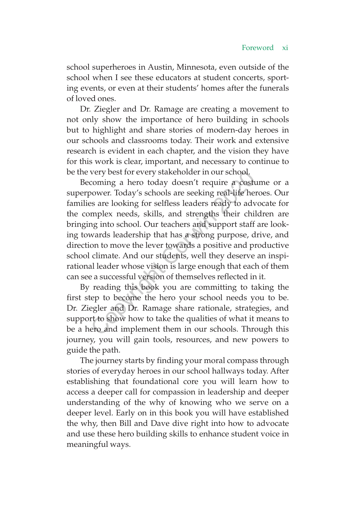school superheroes in Austin, Minnesota, even outside of the school when I see these educators at student concerts, sporting events, or even at their students' homes after the funerals of loved ones.

Dr. Ziegler and Dr. Ramage are creating a movement to not only show the importance of hero building in schools but to highlight and share stories of modern-day heroes in our schools and classrooms today. Their work and extensive research is evident in each chapter, and the vision they have for this work is clear, important, and necessary to continue to be the very best for every stakeholder in our school.

Becoming a hero today doesn't require a costume or a superpower. Today's schools are seeking real-life heroes. Our families are looking for selfless leaders ready to advocate for the complex needs, skills, and strengths their children are bringing into school. Our teachers and support staff are looking towards leadership that has a strong purpose, drive, and direction to move the lever towards a positive and productive school climate. And our students, well they deserve an inspirational leader whose vision is large enough that each of them can see a successful version of themselves reflected in it. very best for every stakeholder in our school.<br>
coming a hero today doesn't require a cost<br>
bower. Today's schools are seeking real-life here<br>
sa are looking for selfless leaders ready to adv<br>
mplex needs, skills, and stre

By reading this book you are committing to taking the first step to become the hero your school needs you to be. Dr. Ziegler and Dr. Ramage share rationale, strategies, and support to show how to take the qualities of what it means to be a hero and implement them in our schools. Through this journey, you will gain tools, resources, and new powers to guide the path.

The journey starts by finding your moral compass through stories of everyday heroes in our school hallways today. After establishing that foundational core you will learn how to access a deeper call for compassion in leadership and deeper understanding of the why of knowing who we serve on a deeper level. Early on in this book you will have established the why, then Bill and Dave dive right into how to advocate and use these hero building skills to enhance student voice in meaningful ways.